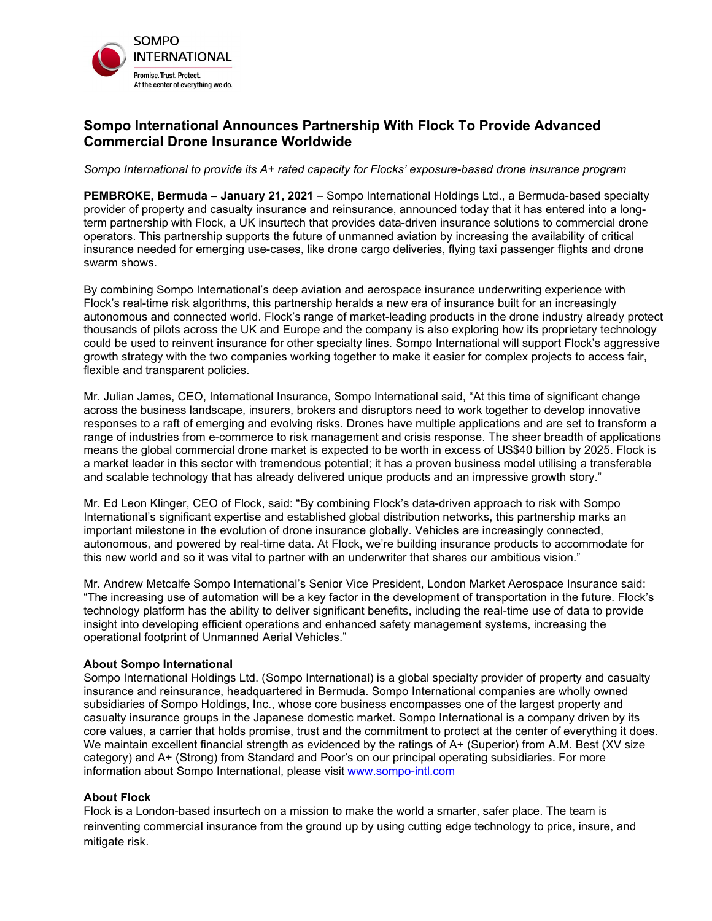

## **Sompo International Announces Partnership With Flock To Provide Advanced Commercial Drone Insurance Worldwide**

*Sompo International to provide its A+ rated capacity for Flocks' exposure-based drone insurance program* 

**PEMBROKE, Bermuda – January 21, 2021** – Sompo International Holdings Ltd., a Bermuda-based specialty provider of property and casualty insurance and reinsurance, announced today that it has entered into a longterm partnership with Flock, a UK insurtech that provides data-driven insurance solutions to commercial drone operators. This partnership supports the future of unmanned aviation by increasing the availability of critical insurance needed for emerging use-cases, like drone cargo deliveries, flying taxi passenger flights and drone swarm shows.

By combining Sompo International's deep aviation and aerospace insurance underwriting experience with Flock's real-time risk algorithms, this partnership heralds a new era of insurance built for an increasingly autonomous and connected world. Flock's range of market-leading products in the drone industry already protect thousands of pilots across the UK and Europe and the company is also exploring how its proprietary technology could be used to reinvent insurance for other specialty lines. Sompo International will support Flock's aggressive growth strategy with the two companies working together to make it easier for complex projects to access fair, flexible and transparent policies.

Mr. Julian James, CEO, International Insurance, Sompo International said, "At this time of significant change across the business landscape, insurers, brokers and disruptors need to work together to develop innovative responses to a raft of emerging and evolving risks. Drones have multiple applications and are set to transform a range of industries from e-commerce to risk management and crisis response. The sheer breadth of applications means the global commercial drone market is expected to be worth in excess of US\$40 billion by 2025. Flock is a market leader in this sector with tremendous potential; it has a proven business model utilising a transferable and scalable technology that has already delivered unique products and an impressive growth story."

Mr. Ed Leon Klinger, CEO of Flock, said: "By combining Flock's data-driven approach to risk with Sompo International's significant expertise and established global distribution networks, this partnership marks an important milestone in the evolution of drone insurance globally. Vehicles are increasingly connected, autonomous, and powered by real-time data. At Flock, we're building insurance products to accommodate for this new world and so it was vital to partner with an underwriter that shares our ambitious vision."

Mr. Andrew Metcalfe Sompo International's Senior Vice President, London Market Aerospace Insurance said: "The increasing use of automation will be a key factor in the development of transportation in the future. Flock's technology platform has the ability to deliver significant benefits, including the real-time use of data to provide insight into developing efficient operations and enhanced safety management systems, increasing the operational footprint of Unmanned Aerial Vehicles."

## **About Sompo International**

Sompo International Holdings Ltd. (Sompo International) is a global specialty provider of property and casualty insurance and reinsurance, headquartered in Bermuda. Sompo International companies are wholly owned subsidiaries of Sompo Holdings, Inc., whose core business encompasses one of the largest property and casualty insurance groups in the Japanese domestic market. Sompo International is a company driven by its core values, a carrier that holds promise, trust and the commitment to protect at the center of everything it does. We maintain excellent financial strength as evidenced by the ratings of A+ (Superior) from A.M. Best (XV size category) and A+ (Strong) from Standard and Poor's on our principal operating subsidiaries. For more information about Sompo International, please visit [www.sompo-intl.com](https://www.sompo-intl.com/)

## **About Flock**

Flock is a London-based insurtech on a mission to make the world a smarter, safer place. The team is reinventing commercial insurance from the ground up by using cutting edge technology to price, insure, and mitigate risk.